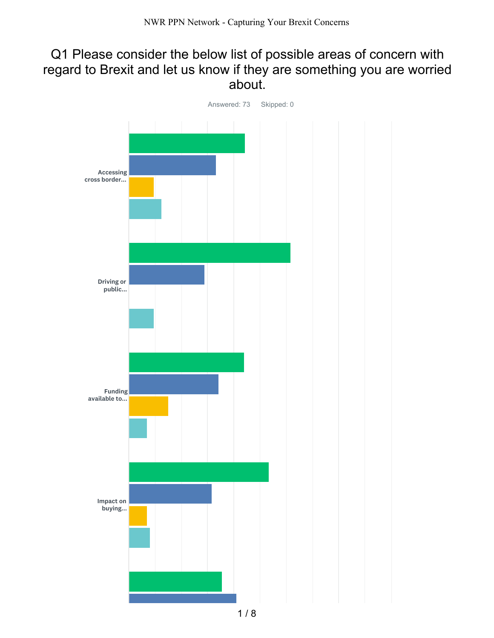## Q1 Please consider the below list of possible areas of concern with regard to Brexit and let us know if they are something you are worried about.

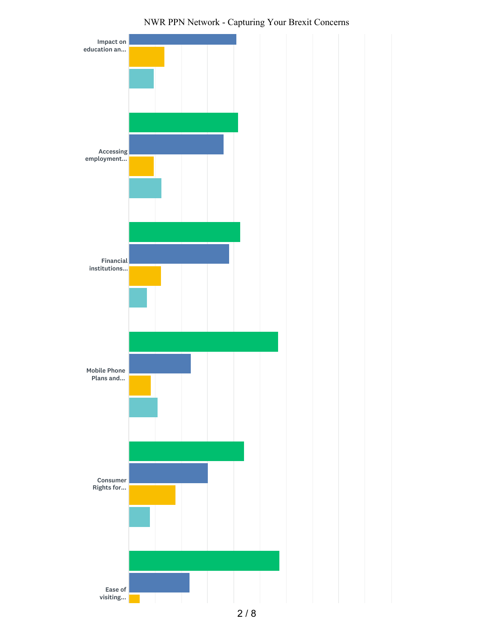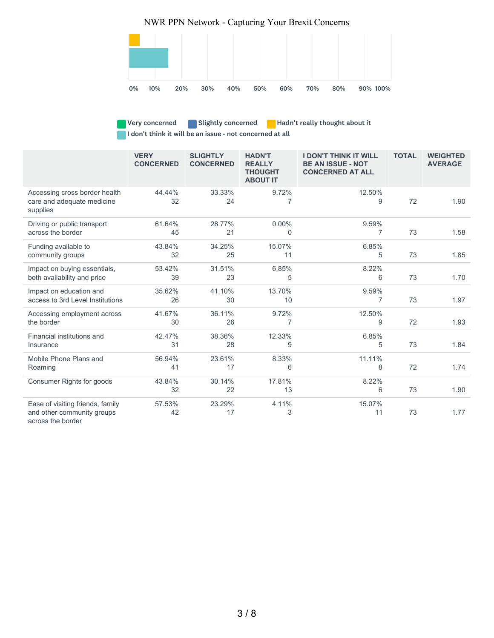

Very concerned **Slightly concerned** Hadn't really thought about it I don't think it will be an issue - not concerned at all

|                                                                         | <b>VERY</b><br><b>CONCERNED</b> | <b>SLIGHTLY</b><br><b>CONCERNED</b> | <b>HADN'T</b><br><b>REALLY</b><br><b>THOUGHT</b><br><b>ABOUT IT</b> | <b>I DON'T THINK IT WILL</b><br><b>BE AN ISSUE - NOT</b><br><b>CONCERNED AT ALL</b> | <b>TOTAL</b> | <b>WEIGHTED</b><br><b>AVERAGE</b> |
|-------------------------------------------------------------------------|---------------------------------|-------------------------------------|---------------------------------------------------------------------|-------------------------------------------------------------------------------------|--------------|-----------------------------------|
| Accessing cross border health<br>care and adequate medicine<br>supplies | 44.44%<br>32                    | 33.33%<br>24                        | 9.72%<br>7                                                          | 12.50%<br>9                                                                         | 72           | 1.90                              |
| Driving or public transport<br>across the border                        | 61.64%<br>45                    | 28.77%<br>21                        | $0.00\%$<br>$\Omega$                                                | 9.59%<br>7                                                                          | 73           | 1.58                              |
| Funding available to<br>community groups                                | 43.84%<br>32                    | 34.25%<br>25                        | 15.07%<br>11                                                        | 6.85%<br>5                                                                          | 73           | 1.85                              |
| Impact on buying essentials,<br>both availability and price             | 53.42%<br>39                    | 31.51%<br>23                        | 6.85%<br>5                                                          | 8.22%<br>6                                                                          | 73           | 1.70                              |
| Impact on education and<br>access to 3rd Level Institutions             | 35.62%<br>26                    | 41.10%<br>30                        | 13.70%<br>10                                                        | 9.59%<br>7                                                                          | 73           | 1.97                              |
| Accessing employment across<br>the border                               | 41.67%<br>30                    | 36.11%<br>26                        | 9.72%<br>7                                                          | 12.50%<br>9                                                                         | 72           | 1.93                              |
| Financial institutions and<br>Insurance                                 | 42.47%<br>31                    | 38.36%<br>28                        | 12.33%<br>9                                                         | 6.85%<br>5                                                                          | 73           | 1.84                              |
| Mobile Phone Plans and<br>Roaming                                       | 56.94%<br>41                    | 23.61%<br>17                        | 8.33%<br>6                                                          | 11.11%<br>8                                                                         | 72           | 1.74                              |
| Consumer Rights for goods                                               | 43.84%<br>32                    | 30.14%<br>22                        | 17.81%<br>13                                                        | 8.22%<br>6                                                                          | 73           | 1.90                              |
| Ease of visiting friends, family<br>and other community groups          | 57.53%<br>42                    | 23.29%<br>17                        | 4.11%<br>3                                                          | 15.07%<br>11                                                                        | 73           | 1.77                              |

across the border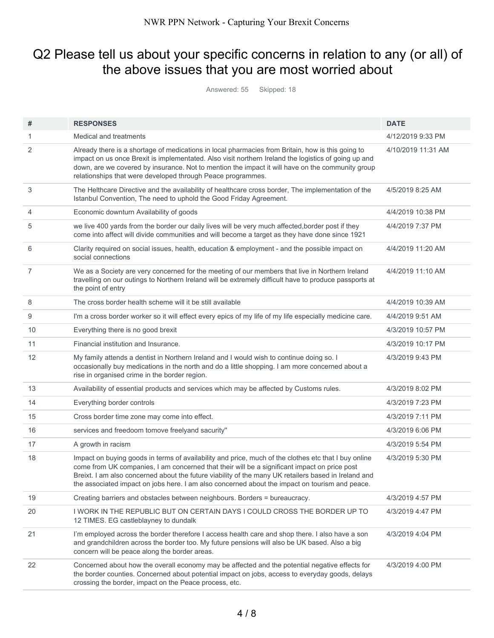# Q2 Please tell us about your specific concerns in relation to any (or all) of the above issues that you are most worried about

Answered: 55 Skipped: 18

| #              | <b>RESPONSES</b>                                                                                                                                                                                                                                                                                                                                                                                               | <b>DATE</b>        |
|----------------|----------------------------------------------------------------------------------------------------------------------------------------------------------------------------------------------------------------------------------------------------------------------------------------------------------------------------------------------------------------------------------------------------------------|--------------------|
| 1              | Medical and treatments                                                                                                                                                                                                                                                                                                                                                                                         | 4/12/2019 9:33 PM  |
| 2              | Already there is a shortage of medications in local pharmacies from Britain, how is this going to<br>impact on us once Brexit is implementated. Also visit northern Ireland the logistics of going up and<br>down, are we covered by insurance. Not to mention the impact it will have on the community group<br>relationships that were developed through Peace programmes.                                   | 4/10/2019 11:31 AM |
| 3              | The Helthcare Directive and the availability of healthcare cross border, The implementation of the<br>Istanbul Convention, The need to uphold the Good Friday Agreement.                                                                                                                                                                                                                                       | 4/5/2019 8:25 AM   |
| 4              | Economic downturn Availability of goods                                                                                                                                                                                                                                                                                                                                                                        | 4/4/2019 10:38 PM  |
| 5              | we live 400 yards from the border our daily lives will be very much affected, border post if they<br>come into affect will divide communities and will become a target as they have done since 1921                                                                                                                                                                                                            | 4/4/2019 7:37 PM   |
| 6              | Clarity required on social issues, health, education & employment - and the possible impact on<br>social connections                                                                                                                                                                                                                                                                                           | 4/4/2019 11:20 AM  |
| $\overline{7}$ | We as a Society are very concerned for the meeting of our members that live in Northern Ireland<br>travelling on our outings to Northern Ireland will be extremely difficult have to produce passports at<br>the point of entry                                                                                                                                                                                | 4/4/2019 11:10 AM  |
| 8              | The cross border health scheme will it be still available                                                                                                                                                                                                                                                                                                                                                      | 4/4/2019 10:39 AM  |
| 9              | I'm a cross border worker so it will effect every epics of my life of my life especially medicine care.                                                                                                                                                                                                                                                                                                        | 4/4/2019 9:51 AM   |
| 10             | Everything there is no good brexit                                                                                                                                                                                                                                                                                                                                                                             | 4/3/2019 10:57 PM  |
| 11             | Financial institution and Insurance.                                                                                                                                                                                                                                                                                                                                                                           | 4/3/2019 10:17 PM  |
| 12             | My family attends a dentist in Northern Ireland and I would wish to continue doing so. I<br>occasionally buy medications in the north and do a little shopping. I am more concerned about a<br>rise in organised crime in the border region.                                                                                                                                                                   | 4/3/2019 9:43 PM   |
| 13             | Availability of essential products and services which may be affected by Customs rules.                                                                                                                                                                                                                                                                                                                        | 4/3/2019 8:02 PM   |
| 14             | Everything border controls                                                                                                                                                                                                                                                                                                                                                                                     | 4/3/2019 7:23 PM   |
| 15             | Cross border time zone may come into effect.                                                                                                                                                                                                                                                                                                                                                                   | 4/3/2019 7:11 PM   |
| 16             | services and freedoom tomove freelyand sacurity"                                                                                                                                                                                                                                                                                                                                                               | 4/3/2019 6:06 PM   |
| 17             | A growth in racism                                                                                                                                                                                                                                                                                                                                                                                             | 4/3/2019 5:54 PM   |
| 18             | Impact on buying goods in terms of availability and price, much of the clothes etc that I buy online<br>come from UK companies, I am concerned that their will be a significant impact on price post<br>Breixt. I am also concerned about the future viability of the many UK retailers based in Ireland and<br>the associated impact on jobs here. I am also concerned about the impact on tourism and peace. | 4/3/2019 5:30 PM   |
| 19             | Creating barriers and obstacles between neighbours. Borders = bureaucracy.                                                                                                                                                                                                                                                                                                                                     | 4/3/2019 4:57 PM   |
| 20             | I WORK IN THE REPUBLIC BUT ON CERTAIN DAYS I COULD CROSS THE BORDER UP TO<br>12 TIMES. EG castleblayney to dundalk                                                                                                                                                                                                                                                                                             | 4/3/2019 4:47 PM   |
| 21             | I'm employed across the border therefore I access health care and shop there. I also have a son<br>and grandchildren across the border too. My future pensions will also be UK based. Also a big<br>concern will be peace along the border areas.                                                                                                                                                              | 4/3/2019 4:04 PM   |
| 22             | Concerned about how the overall economy may be affected and the potential negative effects for<br>the border counties. Concerned about potential impact on jobs, access to everyday goods, delays<br>crossing the border, impact on the Peace process, etc.                                                                                                                                                    | 4/3/2019 4:00 PM   |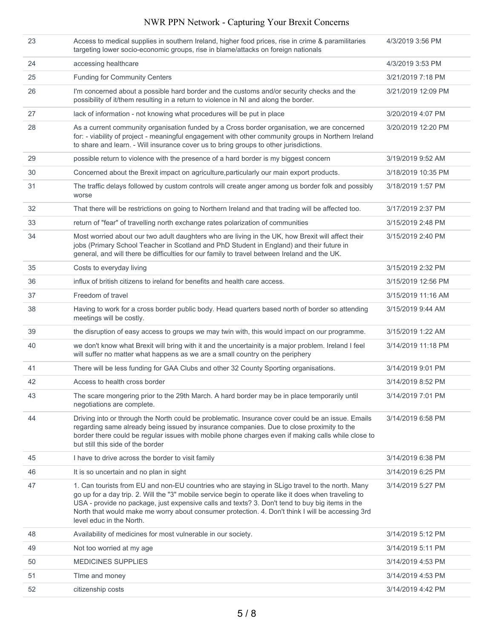| 23 | Access to medical supplies in southern Ireland, higher food prices, rise in crime & paramilitaries<br>targeting lower socio-economic groups, rise in blame/attacks on foreign nationals                                                                                                                                                                                                                                                    | 4/3/2019 3:56 PM   |
|----|--------------------------------------------------------------------------------------------------------------------------------------------------------------------------------------------------------------------------------------------------------------------------------------------------------------------------------------------------------------------------------------------------------------------------------------------|--------------------|
| 24 | accessing healthcare                                                                                                                                                                                                                                                                                                                                                                                                                       | 4/3/2019 3:53 PM   |
| 25 | <b>Funding for Community Centers</b>                                                                                                                                                                                                                                                                                                                                                                                                       | 3/21/2019 7:18 PM  |
| 26 | I'm concerned about a possible hard border and the customs and/or security checks and the<br>possibility of it/them resulting in a return to violence in NI and along the border.                                                                                                                                                                                                                                                          | 3/21/2019 12:09 PM |
| 27 | lack of information - not knowing what procedures will be put in place                                                                                                                                                                                                                                                                                                                                                                     | 3/20/2019 4:07 PM  |
| 28 | As a current community organisation funded by a Cross border organisation, we are concerned<br>for: - viability of project - meaningful engagement with other community groups in Northern Ireland<br>to share and learn. - Will insurance cover us to bring groups to other jurisdictions.                                                                                                                                                | 3/20/2019 12:20 PM |
| 29 | possible return to violence with the presence of a hard border is my biggest concern                                                                                                                                                                                                                                                                                                                                                       | 3/19/2019 9:52 AM  |
| 30 | Concerned about the Brexit impact on agriculture, particularly our main export products.                                                                                                                                                                                                                                                                                                                                                   | 3/18/2019 10:35 PM |
| 31 | The traffic delays followed by custom controls will create anger among us border folk and possibly<br>worse                                                                                                                                                                                                                                                                                                                                | 3/18/2019 1:57 PM  |
| 32 | That there will be restrictions on going to Northern Ireland and that trading will be affected too.                                                                                                                                                                                                                                                                                                                                        | 3/17/2019 2:37 PM  |
| 33 | return of "fear" of travelling north exchange rates polarization of communities                                                                                                                                                                                                                                                                                                                                                            | 3/15/2019 2:48 PM  |
| 34 | Most worried about our two adult daughters who are living in the UK, how Brexit will affect their<br>jobs (Primary School Teacher in Scotland and PhD Student in England) and their future in<br>general, and will there be difficulties for our family to travel between Ireland and the UK.                                                                                                                                              | 3/15/2019 2:40 PM  |
| 35 | Costs to everyday living                                                                                                                                                                                                                                                                                                                                                                                                                   | 3/15/2019 2:32 PM  |
| 36 | influx of british citizens to ireland for benefits and health care access.                                                                                                                                                                                                                                                                                                                                                                 | 3/15/2019 12:56 PM |
| 37 | Freedom of travel                                                                                                                                                                                                                                                                                                                                                                                                                          | 3/15/2019 11:16 AM |
| 38 | Having to work for a cross border public body. Head quarters based north of border so attending<br>meetings will be costly.                                                                                                                                                                                                                                                                                                                | 3/15/2019 9:44 AM  |
| 39 | the disruption of easy access to groups we may twin with, this would impact on our programme.                                                                                                                                                                                                                                                                                                                                              | 3/15/2019 1:22 AM  |
| 40 | we don't know what Brexit will bring with it and the uncertainity is a major problem. Ireland I feel<br>will suffer no matter what happens as we are a small country on the periphery                                                                                                                                                                                                                                                      | 3/14/2019 11:18 PM |
| 41 | There will be less funding for GAA Clubs and other 32 County Sporting organisations.                                                                                                                                                                                                                                                                                                                                                       | 3/14/2019 9:01 PM  |
| 42 | Access to health cross border                                                                                                                                                                                                                                                                                                                                                                                                              | 3/14/2019 8:52 PM  |
| 43 | The scare mongering prior to the 29th March. A hard border may be in place temporarily until<br>negotiations are complete.                                                                                                                                                                                                                                                                                                                 | 3/14/2019 7:01 PM  |
| 44 | Driving into or through the North could be problematic. Insurance cover could be an issue. Emails<br>regarding same already being issued by insurance companies. Due to close proximity to the<br>border there could be regular issues with mobile phone charges even if making calls while close to<br>but still this side of the border                                                                                                  | 3/14/2019 6:58 PM  |
| 45 | I have to drive across the border to visit family                                                                                                                                                                                                                                                                                                                                                                                          | 3/14/2019 6:38 PM  |
| 46 | It is so uncertain and no plan in sight                                                                                                                                                                                                                                                                                                                                                                                                    | 3/14/2019 6:25 PM  |
| 47 | 1. Can tourists from EU and non-EU countries who are staying in SLigo travel to the north. Many<br>go up for a day trip. 2. Will the "3" mobile service begin to operate like it does when traveling to<br>USA - provide no package, just expensive calls and texts? 3. Don't tend to buy big items in the<br>North that would make me worry about consumer protection. 4. Don't think I will be accessing 3rd<br>level educ in the North. | 3/14/2019 5:27 PM  |
| 48 | Availability of medicines for most vulnerable in our society.                                                                                                                                                                                                                                                                                                                                                                              | 3/14/2019 5:12 PM  |
| 49 | Not too worried at my age                                                                                                                                                                                                                                                                                                                                                                                                                  | 3/14/2019 5:11 PM  |
| 50 | <b>MEDICINES SUPPLIES</b>                                                                                                                                                                                                                                                                                                                                                                                                                  | 3/14/2019 4:53 PM  |
| 51 | Time and money                                                                                                                                                                                                                                                                                                                                                                                                                             | 3/14/2019 4:53 PM  |
| 52 | citizenship costs                                                                                                                                                                                                                                                                                                                                                                                                                          | 3/14/2019 4:42 PM  |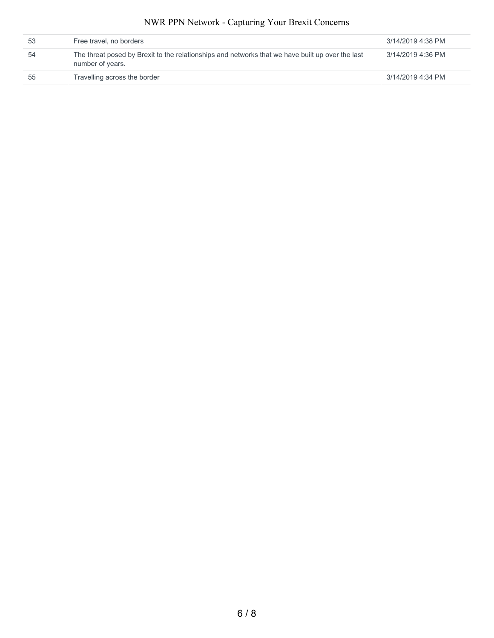| 53 | Free travel, no borders                                                                                              | 3/14/2019 4:38 PM |
|----|----------------------------------------------------------------------------------------------------------------------|-------------------|
| 54 | The threat posed by Brexit to the relationships and networks that we have built up over the last<br>number of years. | 3/14/2019 4:36 PM |
| 55 | Travelling across the border                                                                                         | 3/14/2019 4:34 PM |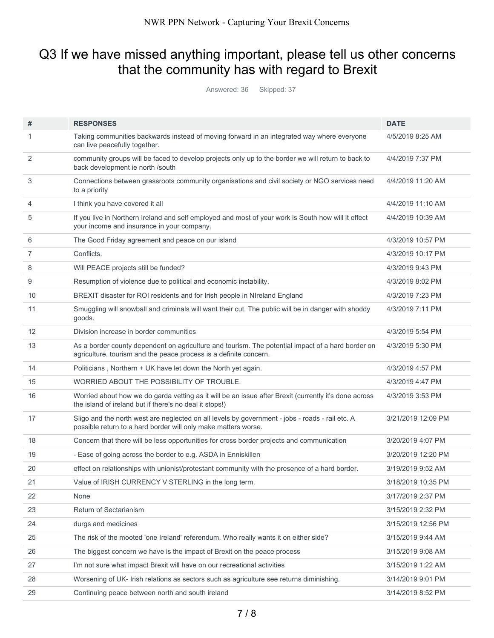# Q3 If we have missed anything important, please tell us other concerns that the community has with regard to Brexit

Answered: 36 Skipped: 37

| #                 | <b>RESPONSES</b>                                                                                                                                                       | <b>DATE</b>        |
|-------------------|------------------------------------------------------------------------------------------------------------------------------------------------------------------------|--------------------|
| 1                 | Taking communities backwards instead of moving forward in an integrated way where everyone<br>can live peacefully together.                                            | 4/5/2019 8:25 AM   |
| 2                 | community groups will be faced to develop projects only up to the border we will return to back to<br>back development ie north /south                                 | 4/4/2019 7:37 PM   |
| 3                 | Connections between grassroots community organisations and civil society or NGO services need<br>to a priority                                                         | 4/4/2019 11:20 AM  |
| $\overline{4}$    | I think you have covered it all                                                                                                                                        | 4/4/2019 11:10 AM  |
| 5                 | If you live in Northern Ireland and self employed and most of your work is South how will it effect<br>your income and insurance in your company.                      | 4/4/2019 10:39 AM  |
| 6                 | The Good Friday agreement and peace on our island                                                                                                                      | 4/3/2019 10:57 PM  |
| 7                 | Conflicts.                                                                                                                                                             | 4/3/2019 10:17 PM  |
| 8                 | Will PEACE projects still be funded?                                                                                                                                   | 4/3/2019 9:43 PM   |
| 9                 | Resumption of violence due to political and economic instability.                                                                                                      | 4/3/2019 8:02 PM   |
| 10                | BREXIT disaster for ROI residents and for Irish people in NIreland England                                                                                             | 4/3/2019 7:23 PM   |
| 11                | Smuggling will snowball and criminals will want their cut. The public will be in danger with shoddy<br>goods.                                                          | 4/3/2019 7:11 PM   |
| $12 \overline{ }$ | Division increase in border communities                                                                                                                                | 4/3/2019 5:54 PM   |
| 13                | As a border county dependent on agriculture and tourism. The potential impact of a hard border on<br>agriculture, tourism and the peace process is a definite concern. | 4/3/2019 5:30 PM   |
| 14                | Politicians, Northern + UK have let down the North yet again.                                                                                                          | 4/3/2019 4:57 PM   |
| 15                | WORRIED ABOUT THE POSSIBILITY OF TROUBLE.                                                                                                                              | 4/3/2019 4:47 PM   |
| 16                | Worried about how we do garda vetting as it will be an issue after Brexit (currently it's done across<br>the island of ireland but if there's no deal it stops!)       | 4/3/2019 3:53 PM   |
| 17                | Sligo and the north west are neglected on all levels by government - jobs - roads - rail etc. A<br>possible return to a hard border will only make matters worse.      | 3/21/2019 12:09 PM |
| 18                | Concern that there will be less opportunities for cross border projects and communication                                                                              | 3/20/2019 4:07 PM  |
| 19                | - Ease of going across the border to e.g. ASDA in Enniskillen                                                                                                          | 3/20/2019 12:20 PM |
| 20                | effect on relationships with unionist/protestant community with the presence of a hard border.                                                                         | 3/19/2019 9:52 AM  |
| 21                | Value of IRISH CURRENCY V STERLING in the long term.                                                                                                                   | 3/18/2019 10:35 PM |
| 22                | None                                                                                                                                                                   | 3/17/2019 2:37 PM  |
| 23                | Return of Sectarianism                                                                                                                                                 | 3/15/2019 2:32 PM  |
| 24                | durgs and medicines                                                                                                                                                    | 3/15/2019 12:56 PM |
| 25                | The risk of the mooted 'one Ireland' referendum. Who really wants it on either side?                                                                                   | 3/15/2019 9:44 AM  |
| 26                | The biggest concern we have is the impact of Brexit on the peace process                                                                                               | 3/15/2019 9:08 AM  |
| 27                | I'm not sure what impact Brexit will have on our recreational activities                                                                                               | 3/15/2019 1:22 AM  |
| 28                | Worsening of UK- Irish relations as sectors such as agriculture see returns diminishing.                                                                               | 3/14/2019 9:01 PM  |
| 29                | Continuing peace between north and south ireland                                                                                                                       | 3/14/2019 8:52 PM  |